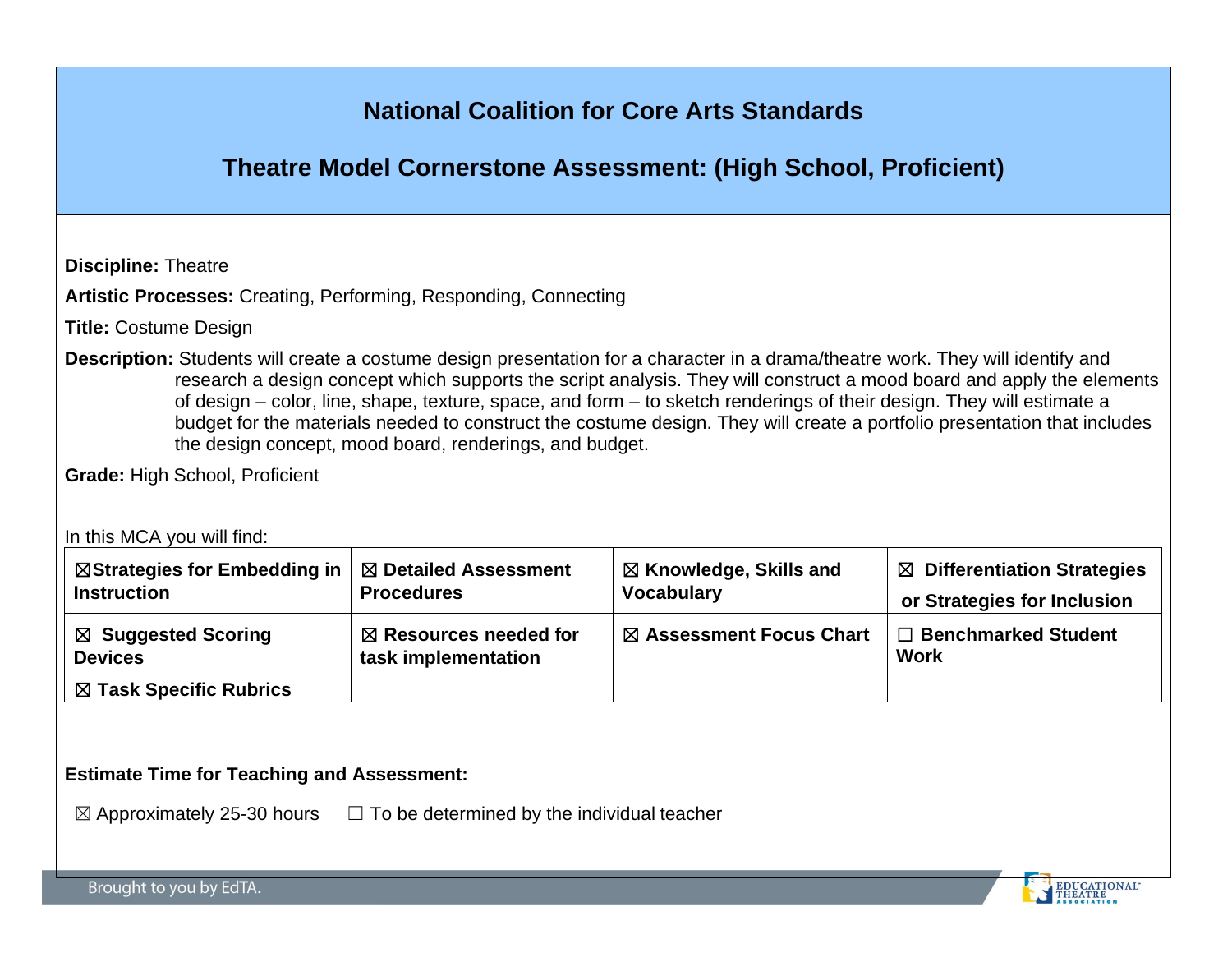# **National Coalition for Core Arts Standards**

# **Theatre Model Cornerstone Assessment: (High School, Proficient)**

**Discipline:** Theatre

**Artistic Processes:** Creating, Performing, Responding, Connecting

**Title:** Costume Design

**Description:** Students will create a costume design presentation for a character in a drama/theatre work. They will identify and research a design concept which supports the script analysis. They will construct a mood board and apply the elements of design – color, line, shape, texture, space, and form – to sketch renderings of their design. They will estimate a budget for the materials needed to construct the costume design. They will create a portfolio presentation that includes the design concept, mood board, renderings, and budget.

**Grade:** High School, Proficient

In this MCA you will find:

| $\boxtimes$ Strategies for Embedding in $\mid$ $\boxtimes$ Detailed Assessment | <b>Procedures</b>                | $\boxtimes$ Knowledge, Skills and | $\boxtimes$ Differentiation Strategies |
|--------------------------------------------------------------------------------|----------------------------------|-----------------------------------|----------------------------------------|
| <b>Instruction</b>                                                             |                                  | <b>Vocabulary</b>                 | or Strategies for Inclusion            |
| ⊠ Suggested Scoring                                                            | $\boxtimes$ Resources needed for | ⊠ Assessment Focus Chart          | $\Box$ Benchmarked Student             |
| <b>Devices</b>                                                                 | task implementation              |                                   | <b>Work</b>                            |
| ⊠ Task Specific Rubrics                                                        |                                  |                                   |                                        |

#### **Estimate Time for Teaching and Assessment:**

 $\boxtimes$  Approximately 25-30 hours  $\Box$  To be determined by the individual teacher

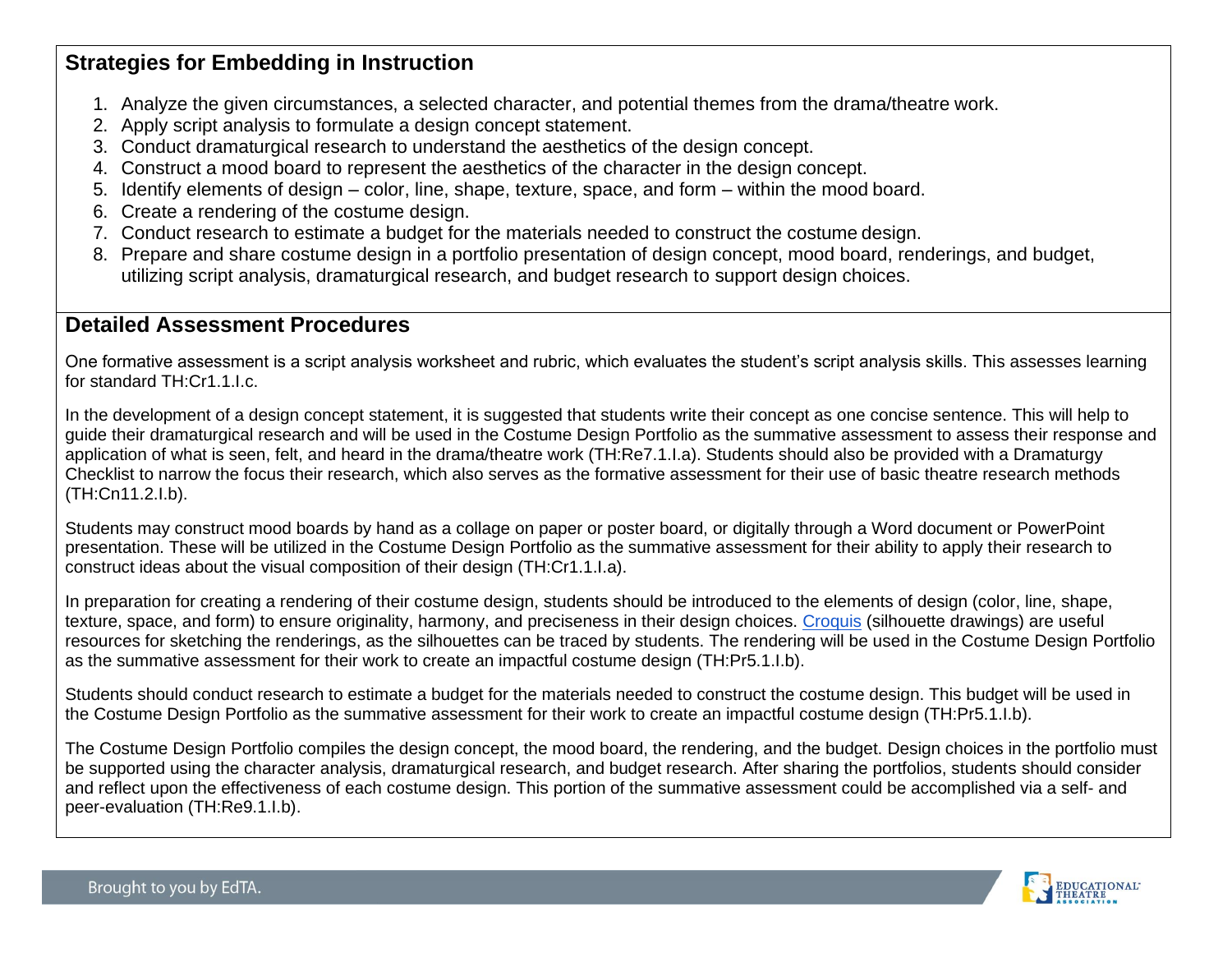### **Strategies for Embedding in Instruction**

- 1. Analyze the given circumstances, a selected character, and potential themes from the drama/theatre work.
- 2. Apply script analysis to formulate a design concept statement.
- 3. Conduct dramaturgical research to understand the aesthetics of the design concept.
- 4. Construct a mood board to represent the aesthetics of the character in the design concept.
- 5. Identify elements of design color, line, shape, texture, space, and form within the mood board.
- 6. Create a rendering of the costume design.
- 7. Conduct research to estimate a budget for the materials needed to construct the costume design.
- 8. Prepare and share costume design in a portfolio presentation of design concept, mood board, renderings, and budget, utilizing script analysis, dramaturgical research, and budget research to support design choices.

### **Detailed Assessment Procedures**

One formative assessment is a script analysis worksheet and rubric, which evaluates the student's script analysis skills. This assesses learning for standard TH:Cr1.1.I.c.

In the development of a design concept statement, it is suggested that students write their concept as one concise sentence. This will help to guide their dramaturgical research and will be used in the Costume Design Portfolio as the summative assessment to assess their response and application of what is seen, felt, and heard in the drama/theatre work (TH:Re7.1.I.a). Students should also be provided with a Dramaturgy Checklist to narrow the focus their research, which also serves as the formative assessment for their use of basic theatre research methods (TH:Cn11.2.I.b).

Students may construct mood boards by hand as a collage on paper or poster board, or digitally through a Word document or PowerPoint presentation. These will be utilized in the Costume Design Portfolio as the summative assessment for their ability to apply their research to construct ideas about the visual composition of their design (TH:Cr1.1.I.a).

In preparation for creating a rendering of their costume design, students should be introduced to the elements of design (color, line, shape, texture, space, and form) to ensure originality, harmony, and preciseness in their design choices. [Croquis](https://www.youtube.com/watch?v=03WUE9zzQY4) (silhouette drawings) are useful resources for sketching the renderings, as the silhouettes can be traced by students. The rendering will be used in the Costume Design Portfolio as the summative assessment for their work to create an impactful costume design (TH:Pr5.1.I.b).

Students should conduct research to estimate a budget for the materials needed to construct the costume design. This budget will be used in the Costume Design Portfolio as the summative assessment for their work to create an impactful costume design (TH:Pr5.1.I.b).

The Costume Design Portfolio compiles the design concept, the mood board, the rendering, and the budget. Design choices in the portfolio must be supported using the character analysis, dramaturgical research, and budget research. After sharing the portfolios, students should consider and reflect upon the effectiveness of each costume design. This portion of the summative assessment could be accomplished via a self- and peer-evaluation (TH:Re9.1.I.b).

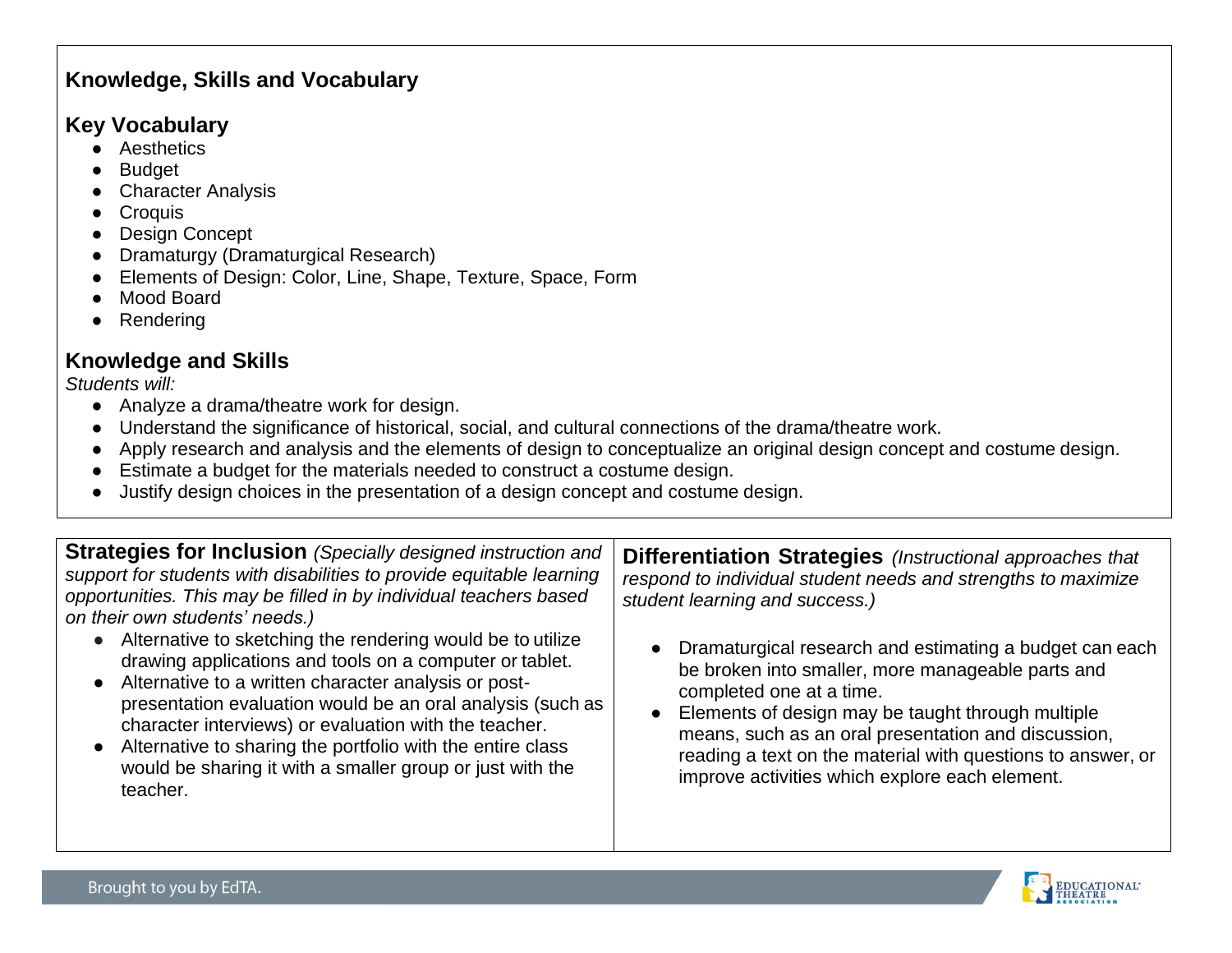### **Knowledge, Skills and Vocabulary**

### **Key Vocabulary**

- Aesthetics
- **Budget**
- **Character Analysis**
- Croquis
- Design Concept
- **Dramaturgy (Dramaturgical Research)**
- Elements of Design: Color, Line, Shape, Texture, Space, Form
- Mood Board
- **Rendering**

## **Knowledge and Skills**

*Students will:*

- Analyze a drama/theatre work for design.
- Understand the significance of historical, social, and cultural connections of the drama/theatre work.
- Apply research and analysis and the elements of design to conceptualize an original design concept and costume design.
- Estimate a budget for the materials needed to construct a costume design.
- Justify design choices in the presentation of a design concept and costume design.

| <b>Strategies for Inclusion</b> (Specially designed instruction and  |
|----------------------------------------------------------------------|
| support for students with disabilities to provide equitable learning |
| opportunities. This may be filled in by individual teachers based    |
| on their own students' needs.)                                       |

- Alternative to sketching the rendering would be to utilize drawing applications and tools on a computer or tablet.
- Alternative to a written character analysis or postpresentation evaluation would be an oral analysis (such as character interviews) or evaluation with the teacher.
- Alternative to sharing the portfolio with the entire class would be sharing it with a smaller group or just with the teacher.

**Differentiation Strategies** *(Instructional approaches that respond to individual student needs and strengths to maximize student learning and success.)*

- Dramaturgical research and estimating a budget can each be broken into smaller, more manageable parts and completed one at a time.
- Elements of design may be taught through multiple means, such as an oral presentation and discussion, reading a text on the material with questions to answer, or improve activities which explore each element.

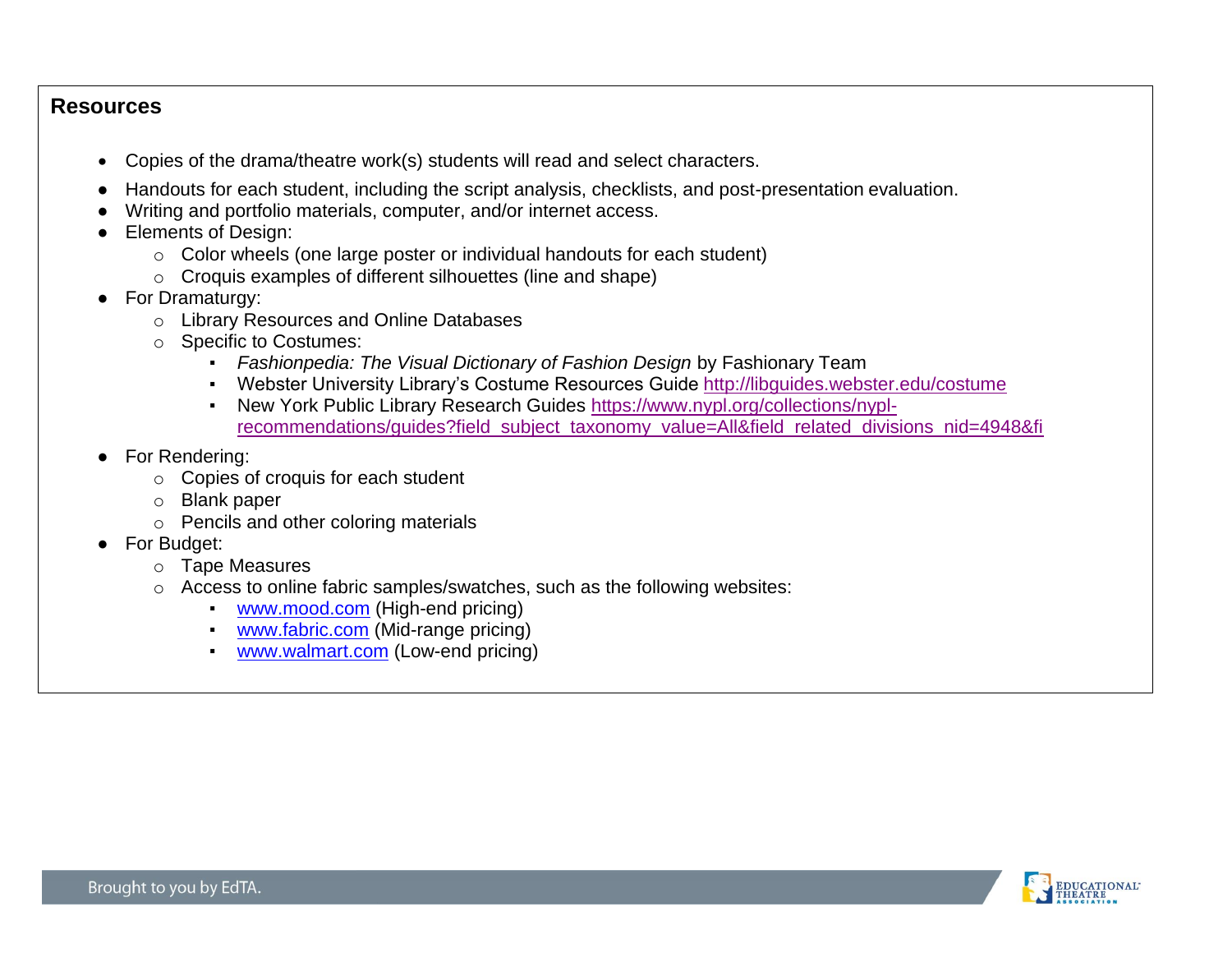#### **Resources**

- Copies of the drama/theatre work(s) students will read and select characters.
- Handouts for each student, including the script analysis, checklists, and post-presentation evaluation.
- Writing and portfolio materials, computer, and/or internet access.
- Elements of Design:
	- o Color wheels (one large poster or individual handouts for each student)
	- o Croquis examples of different silhouettes (line and shape)
- For Dramaturgy:
	- o Library Resources and Online Databases
	- o Specific to Costumes:
		- *Fashionpedia: The Visual Dictionary of Fashion Design by Fashionary Team*
		- Webster University Library's Costume Resources Guide <http://libguides.webster.edu/costume>
		- New York Public Library Research Guides [https://www.nypl.org/collections/nypl](https://www.nypl.org/collections/nypl-recommendations/guides?field_subject_taxonomy_value=All&field_related_divisions_nid=4948&fi)[recommendations/guides?field\\_subject\\_taxonomy\\_value=All&field\\_related\\_divisions\\_nid=4948&fi](https://www.nypl.org/collections/nypl-recommendations/guides?field_subject_taxonomy_value=All&field_related_divisions_nid=4948&fi)
- For Rendering:
	- o Copies of croquis for each student
	- o Blank paper
	- o Pencils and other coloring materials
- For Budget:
	- o Tape Measures
	- o Access to online fabric samples/swatches, such as the following websites:
		- **WWW.mood.com** (High-end pricing)
		- [www.fabric.com](http://www.fabric.com/) (Mid-range pricing)
		- [www.walmart.com](http://www.walmart.com/) (Low-end pricing)

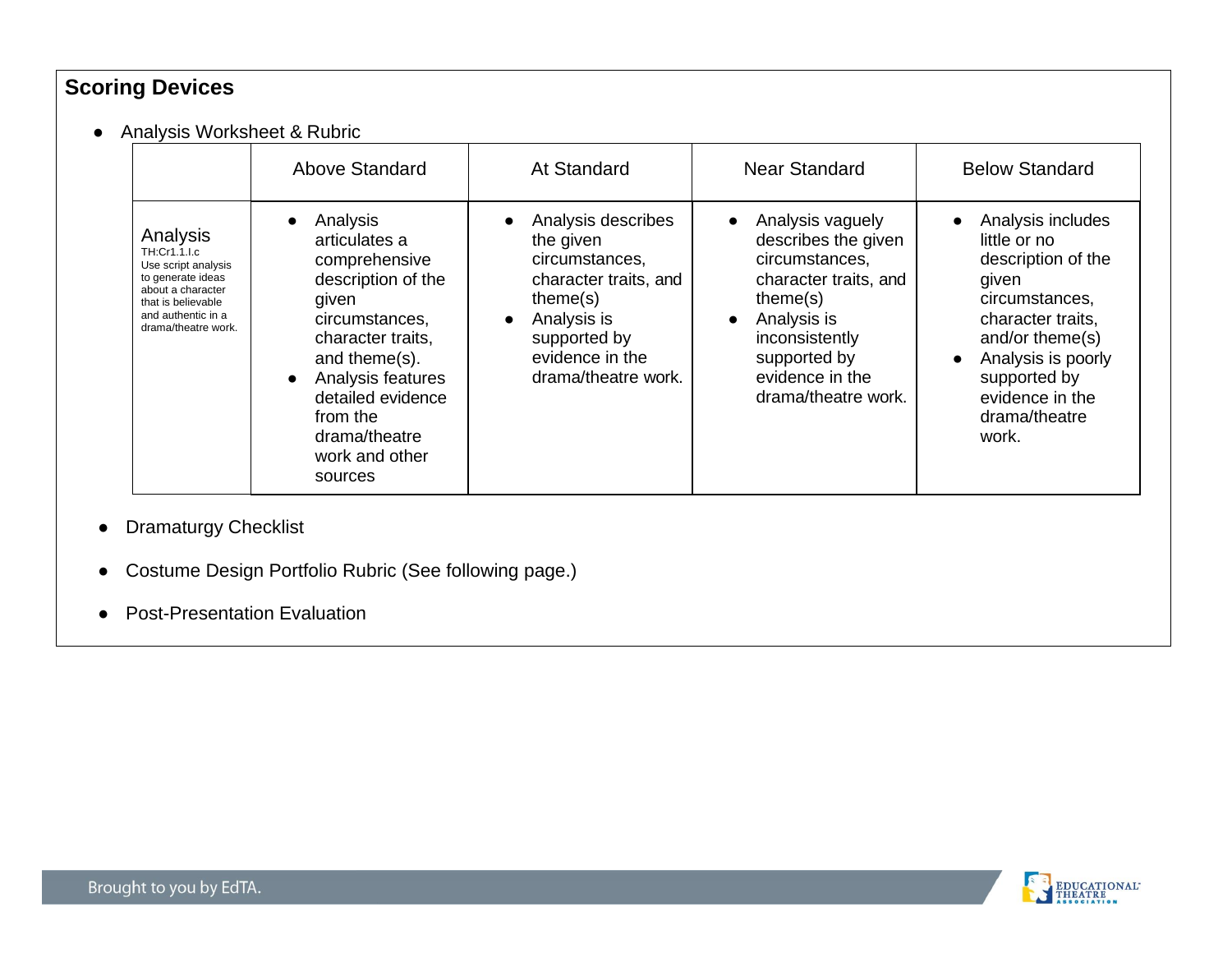# **Scoring Devices**

● Analysis Worksheet & Rubric

|                                                                                                                                                              | Above Standard                                                                                                                                                                                                                        | At Standard                                                                                                                                                     | <b>Near Standard</b>                                                                                                                                                                                                | <b>Below Standard</b>                                                                                                                                                                                         |
|--------------------------------------------------------------------------------------------------------------------------------------------------------------|---------------------------------------------------------------------------------------------------------------------------------------------------------------------------------------------------------------------------------------|-----------------------------------------------------------------------------------------------------------------------------------------------------------------|---------------------------------------------------------------------------------------------------------------------------------------------------------------------------------------------------------------------|---------------------------------------------------------------------------------------------------------------------------------------------------------------------------------------------------------------|
| Analysis<br>TH:Cr1.1.I.c<br>Use script analysis<br>to generate ideas<br>about a character<br>that is believable<br>and authentic in a<br>drama/theatre work. | Analysis<br>articulates a<br>comprehensive<br>description of the<br>given<br>circumstances,<br>character traits.<br>and theme(s).<br>Analysis features<br>detailed evidence<br>from the<br>drama/theatre<br>work and other<br>sources | Analysis describes<br>the given<br>circumstances,<br>character traits, and<br>theme(s)<br>Analysis is<br>supported by<br>evidence in the<br>drama/theatre work. | Analysis vaguely<br>$\bullet$<br>describes the given<br>circumstances,<br>character traits, and<br>theme(s)<br>Analysis is<br>$\bullet$<br>inconsistently<br>supported by<br>evidence in the<br>drama/theatre work. | Analysis includes<br>little or no<br>description of the<br>given<br>circumstances,<br>character traits,<br>and/or theme(s)<br>Analysis is poorly<br>supported by<br>evidence in the<br>drama/theatre<br>work. |

- Dramaturgy Checklist
- Costume Design Portfolio Rubric (See following page.)
- Post-Presentation Evaluation

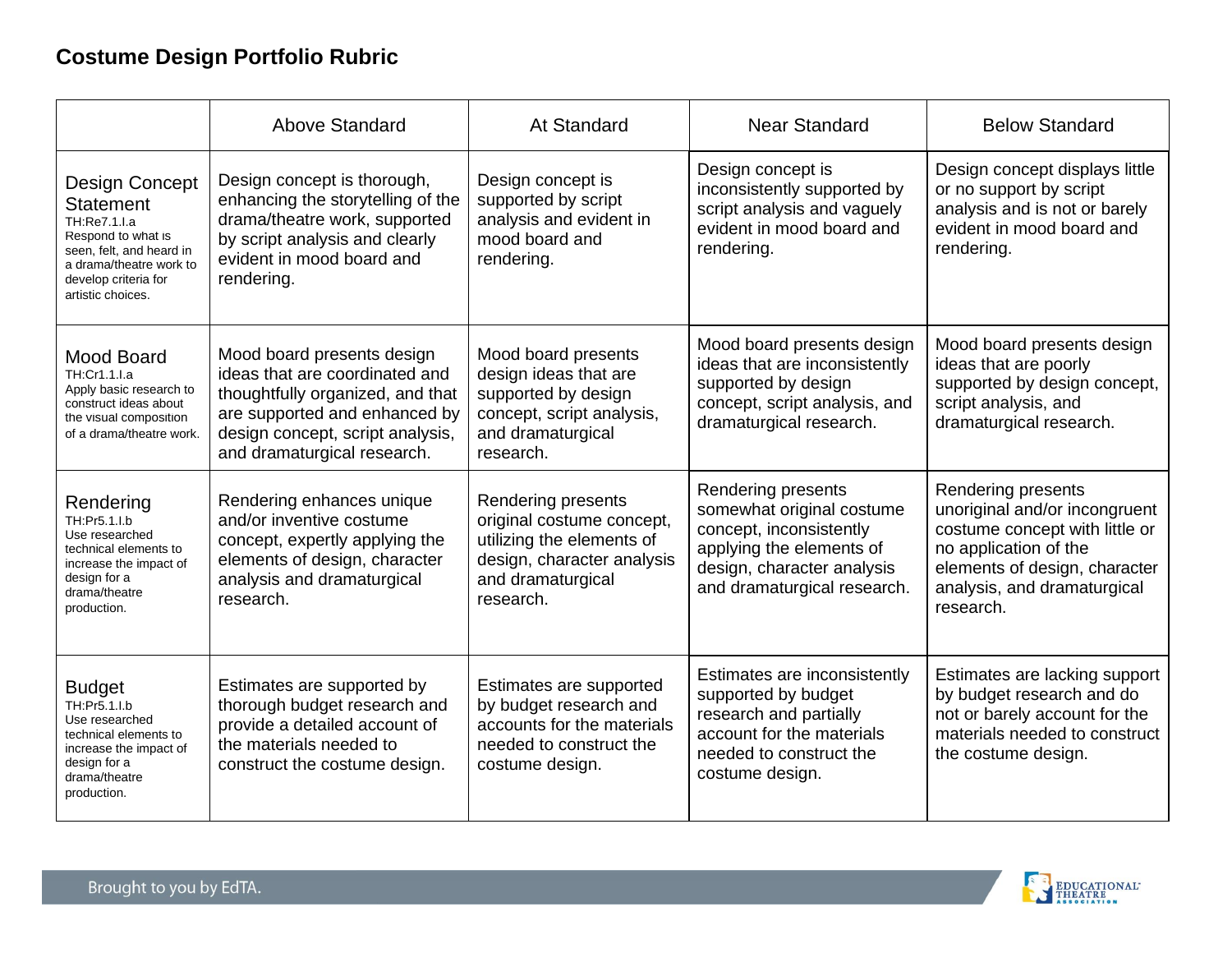# **Costume Design Portfolio Rubric**

|                                                                                                                                                                                     | <b>Above Standard</b>                                                                                                                                                                                | <b>At Standard</b>                                                                                                                           | <b>Near Standard</b>                                                                                                                                                | <b>Below Standard</b>                                                                                                                                                                       |
|-------------------------------------------------------------------------------------------------------------------------------------------------------------------------------------|------------------------------------------------------------------------------------------------------------------------------------------------------------------------------------------------------|----------------------------------------------------------------------------------------------------------------------------------------------|---------------------------------------------------------------------------------------------------------------------------------------------------------------------|---------------------------------------------------------------------------------------------------------------------------------------------------------------------------------------------|
| <b>Design Concept</b><br><b>Statement</b><br>TH:Re7.1.I.a<br>Respond to what is<br>seen, felt, and heard in<br>a drama/theatre work to<br>develop criteria for<br>artistic choices. | Design concept is thorough,<br>enhancing the storytelling of the<br>drama/theatre work, supported<br>by script analysis and clearly<br>evident in mood board and<br>rendering.                       | Design concept is<br>supported by script<br>analysis and evident in<br>mood board and<br>rendering.                                          | Design concept is<br>inconsistently supported by<br>script analysis and vaguely<br>evident in mood board and<br>rendering.                                          | Design concept displays little<br>or no support by script<br>analysis and is not or barely<br>evident in mood board and<br>rendering.                                                       |
| Mood Board<br>TH:Cr1.1.I.a<br>Apply basic research to<br>construct ideas about<br>the visual composition<br>of a drama/theatre work.                                                | Mood board presents design<br>ideas that are coordinated and<br>thoughtfully organized, and that<br>are supported and enhanced by<br>design concept, script analysis,<br>and dramaturgical research. | Mood board presents<br>design ideas that are<br>supported by design<br>concept, script analysis,<br>and dramaturgical<br>research.           | Mood board presents design<br>ideas that are inconsistently<br>supported by design<br>concept, script analysis, and<br>dramaturgical research.                      | Mood board presents design<br>ideas that are poorly<br>supported by design concept,<br>script analysis, and<br>dramaturgical research.                                                      |
| Rendering<br>TH:Pr5.1.I.b<br>Use researched<br>technical elements to<br>increase the impact of<br>design for a<br>drama/theatre<br>production.                                      | Rendering enhances unique<br>and/or inventive costume<br>concept, expertly applying the<br>elements of design, character<br>analysis and dramaturgical<br>research.                                  | Rendering presents<br>original costume concept,<br>utilizing the elements of<br>design, character analysis<br>and dramaturgical<br>research. | Rendering presents<br>somewhat original costume<br>concept, inconsistently<br>applying the elements of<br>design, character analysis<br>and dramaturgical research. | Rendering presents<br>unoriginal and/or incongruent<br>costume concept with little or<br>no application of the<br>elements of design, character<br>analysis, and dramaturgical<br>research. |
| <b>Budget</b><br>TH:Pr5.1.I.b<br>Use researched<br>technical elements to<br>increase the impact of<br>design for a<br>drama/theatre<br>production.                                  | Estimates are supported by<br>thorough budget research and<br>provide a detailed account of<br>the materials needed to<br>construct the costume design.                                              | Estimates are supported<br>by budget research and<br>accounts for the materials<br>needed to construct the<br>costume design.                | Estimates are inconsistently<br>supported by budget<br>research and partially<br>account for the materials<br>needed to construct the<br>costume design.            | Estimates are lacking support<br>by budget research and do<br>not or barely account for the<br>materials needed to construct<br>the costume design.                                         |